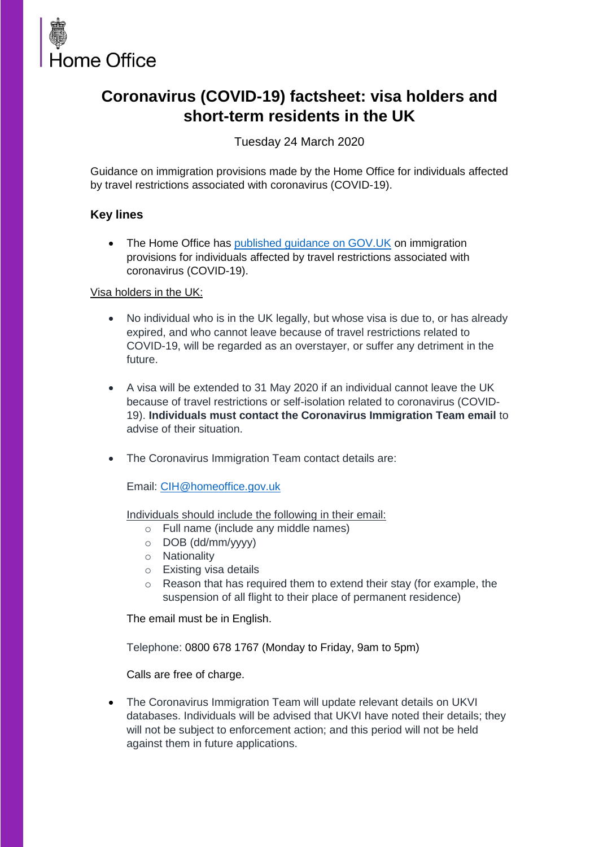

# **Coronavirus (COVID-19) factsheet: visa holders and short-term residents in the UK**

Tuesday 24 March 2020

Guidance on immigration provisions made by the Home Office for individuals affected by travel restrictions associated with coronavirus (COVID-19).

## **Key lines**

• The Home Office has [published guidance on GOV.UK](https://www.gov.uk/guidance/coronavirus-covid-19-advice-for-uk-visa-applicants-and-temporary-uk-residents) on immigration provisions for individuals affected by travel restrictions associated with coronavirus (COVID-19).

### Visa holders in the UK:

- No individual who is in the UK legally, but whose visa is due to, or has already expired, and who cannot leave because of travel restrictions related to COVID-19, will be regarded as an overstayer, or suffer any detriment in the future.
- A visa will be extended to 31 May 2020 if an individual cannot leave the UK because of travel restrictions or self-isolation related to coronavirus (COVID-19). **Individuals must contact the Coronavirus Immigration Team email** to advise of their situation.
- The Coronavirus Immigration Team contact details are:

Email: [CIH@homeoffice.gov.uk](mailto:CIH@homeoffice.gov.uk) 

Individuals should include the following in their email:

- o Full name (include any middle names)
- o DOB (dd/mm/yyyy)
- o Nationality
- o Existing visa details
- o Reason that has required them to extend their stay (for example, the suspension of all flight to their place of permanent residence)

The email must be in English.

Telephone: 0800 678 1767 (Monday to Friday, 9am to 5pm)

Calls are free of charge.

 The Coronavirus Immigration Team will update relevant details on UKVI databases. Individuals will be advised that UKVI have noted their details; they will not be subject to enforcement action; and this period will not be held against them in future applications.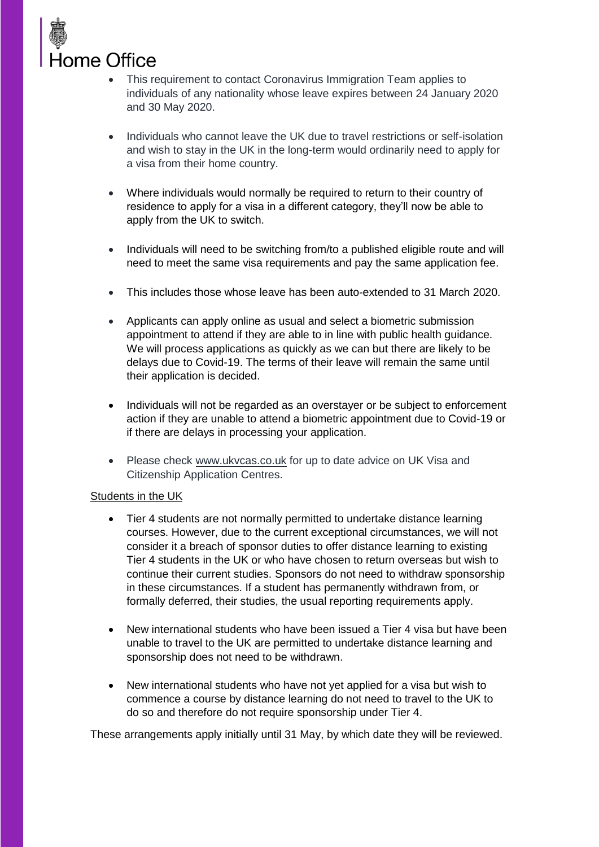

- This requirement to contact Coronavirus Immigration Team applies to individuals of any nationality whose leave expires between 24 January 2020 and 30 May 2020.
- Individuals who cannot leave the UK due to travel restrictions or self-isolation and wish to stay in the UK in the long-term would ordinarily need to apply for a visa from their home country.
- Where individuals would normally be required to return to their country of residence to apply for a visa in a different category, they'll now be able to apply from the UK to switch.
- Individuals will need to be switching from/to a published eligible route and will need to meet the same visa requirements and pay the same application fee.
- This includes those whose leave has been auto-extended to 31 March 2020.
- Applicants can apply online as usual and select a biometric submission appointment to attend if they are able to in line with public health guidance. We will process applications as quickly as we can but there are likely to be delays due to Covid-19. The terms of their leave will remain the same until their application is decided.
- Individuals will not be regarded as an overstayer or be subject to enforcement action if they are unable to attend a biometric appointment due to Covid-19 or if there are delays in processing your application.
- Please check [www.ukvcas.co.uk](http://www.ukvcas.co.uk/) for up to date advice on UK Visa and Citizenship Application Centres.

### Students in the UK

- Tier 4 students are not normally permitted to undertake distance learning courses. However, due to the current exceptional circumstances, we will not consider it a breach of sponsor duties to offer distance learning to existing Tier 4 students in the UK or who have chosen to return overseas but wish to continue their current studies. Sponsors do not need to withdraw sponsorship in these circumstances. If a student has permanently withdrawn from, or formally deferred, their studies, the usual reporting requirements apply.
- New international students who have been issued a Tier 4 visa but have been unable to travel to the UK are permitted to undertake distance learning and sponsorship does not need to be withdrawn.
- New international students who have not yet applied for a visa but wish to commence a course by distance learning do not need to travel to the UK to do so and therefore do not require sponsorship under Tier 4.

These arrangements apply initially until 31 May, by which date they will be reviewed.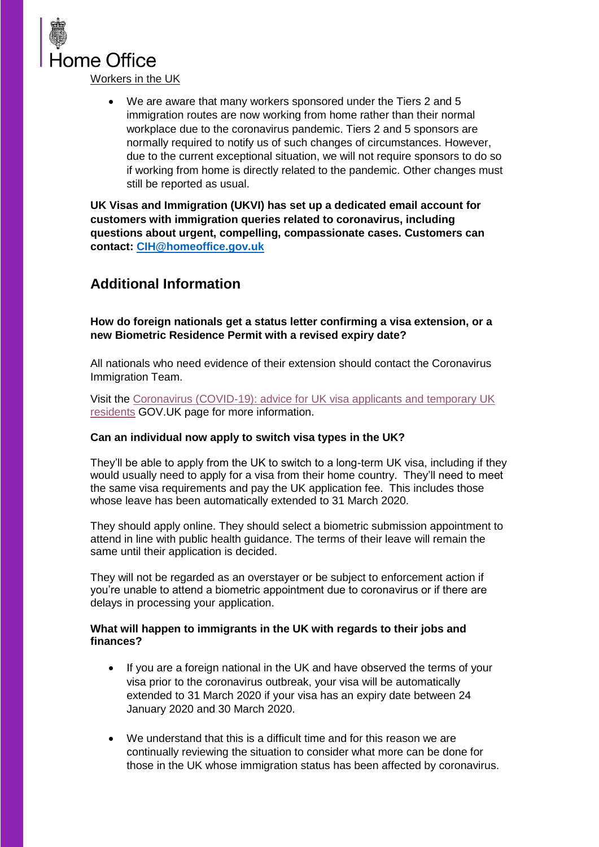

 We are aware that many workers sponsored under the Tiers 2 and 5 immigration routes are now working from home rather than their normal workplace due to the coronavirus pandemic. Tiers 2 and 5 sponsors are normally required to notify us of such changes of circumstances. However, due to the current exceptional situation, we will not require sponsors to do so if working from home is directly related to the pandemic. Other changes must still be reported as usual.

**UK Visas and Immigration (UKVI) has set up a dedicated email account for customers with immigration queries related to coronavirus, including questions about urgent, compelling, compassionate cases. Customers can contact: [CIH@homeoffice.gov.uk](mailto:CIH@homeoffice.gov.uk)**

# **Additional Information**

**How do foreign nationals get a status letter confirming a visa extension, or a new Biometric Residence Permit with a revised expiry date?**

All nationals who need evidence of their extension should contact the Coronavirus Immigration Team.

Visit the [Coronavirus \(COVID-19\): advice for UK visa applicants and temporary UK](https://www.gov.uk/guidance/coronavirus-covid-19-advice-for-uk-visa-applicants-and-temporary-uk-residents)  [residents](https://www.gov.uk/guidance/coronavirus-covid-19-advice-for-uk-visa-applicants-and-temporary-uk-residents) GOV.UK page for more information.

### **Can an individual now apply to switch visa types in the UK?**

They'll be able to apply from the UK to switch to a long-term UK visa, including if they would usually need to apply for a visa from their home country. They'll need to meet the same visa requirements and pay the UK application fee. This includes those whose leave has been automatically extended to 31 March 2020.

They should apply online. They should select a biometric submission appointment to attend in line with public health guidance. The terms of their leave will remain the same until their application is decided.

They will not be regarded as an overstayer or be subject to enforcement action if you're unable to attend a biometric appointment due to coronavirus or if there are delays in processing your application.

### **What will happen to immigrants in the UK with regards to their jobs and finances?**

- If you are a foreign national in the UK and have observed the terms of your visa prior to the coronavirus outbreak, your visa will be automatically extended to 31 March 2020 if your visa has an expiry date between 24 January 2020 and 30 March 2020.
- We understand that this is a difficult time and for this reason we are continually reviewing the situation to consider what more can be done for those in the UK whose immigration status has been affected by coronavirus.